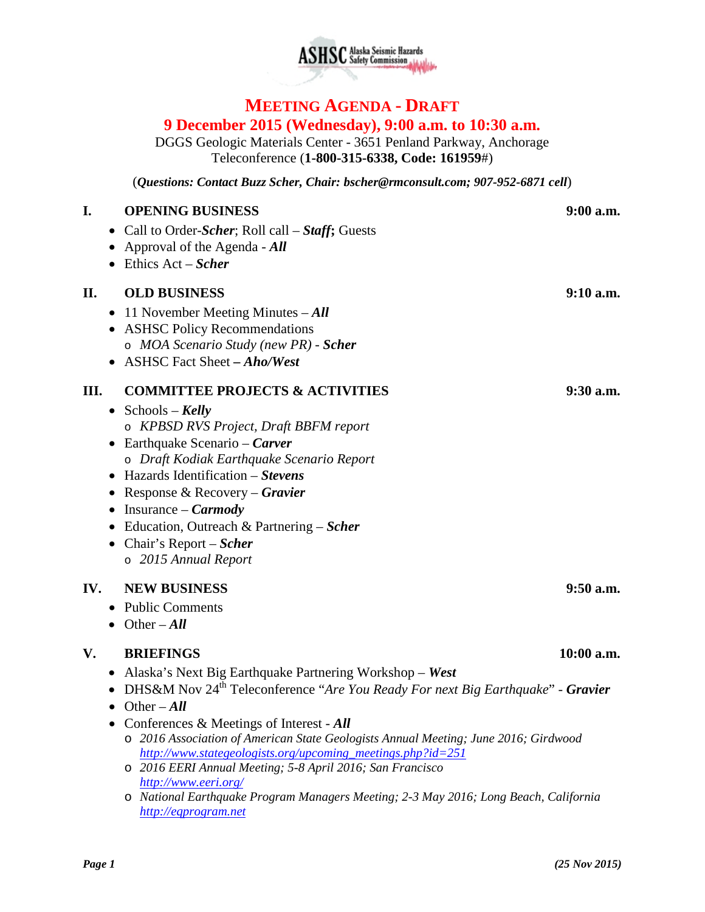

## **MEETING AGENDA - DRAFT 9 December 2015 (Wednesday), 9:00 a.m. to 10:30 a.m.**

DGGS Geologic Materials Center - 3651 Penland Parkway, Anchorage Teleconference (**1-800-315-6338, Code: 161959**#)

(*Questions: Contact Buzz Scher, Chair: [bscher@rmconsult.com;](mailto:bscher@rmconsult.com) 907-952-6871 cell*)

| I.  | <b>OPENING BUSINESS</b>                                                                                                  | 9:00 a.m.    |
|-----|--------------------------------------------------------------------------------------------------------------------------|--------------|
|     | • Call to Order-Scher; Roll call $-$ Staff; Guests                                                                       |              |
|     | Approval of the Agenda - All                                                                                             |              |
|     | $\bullet$ Ethics Act – Scher                                                                                             |              |
| П.  | <b>OLD BUSINESS</b>                                                                                                      | $9:10$ a.m.  |
|     | 11 November Meeting Minutes $-All$<br>$\bullet$                                                                          |              |
|     | <b>ASHSC Policy Recommendations</b>                                                                                      |              |
|     | o MOA Scenario Study (new PR) - Scher                                                                                    |              |
|     | <b>ASHSC Fact Sheet - Aho/West</b>                                                                                       |              |
| Ш.  | <b>COMMITTEE PROJECTS &amp; ACTIVITIES</b>                                                                               | $9:30$ a.m.  |
|     | Schools – Kelly                                                                                                          |              |
|     | $\bullet$<br>o KPBSD RVS Project, Draft BBFM report                                                                      |              |
|     | Earthquake Scenario – Carver<br>$\bullet$                                                                                |              |
|     | o Draft Kodiak Earthquake Scenario Report                                                                                |              |
|     | Hazards Identification – Stevens                                                                                         |              |
|     | Response & Recovery – Gravier<br>$\bullet$                                                                               |              |
|     | Insurance – <i>Carmody</i>                                                                                               |              |
|     | Education, Outreach & Partnering – Scher                                                                                 |              |
|     | Chair's Report – Scher                                                                                                   |              |
|     | o 2015 Annual Report                                                                                                     |              |
| IV. | <b>NEW BUSINESS</b>                                                                                                      | $9:50$ a.m.  |
|     | <b>Public Comments</b><br>$\bullet$                                                                                      |              |
|     | $\bullet$ Other – All                                                                                                    |              |
|     |                                                                                                                          |              |
| V.  | <b>BRIEFINGS</b>                                                                                                         | $10:00$ a.m. |
|     | Alaska's Next Big Earthquake Partnering Workshop – West<br>$\bullet$                                                     |              |
|     | DHS&M Nov 24 <sup>th</sup> Teleconference "Are You Ready For next Big Earthquake" - Gravier                              |              |
|     | Other $-All$                                                                                                             |              |
|     | Conferences & Meetings of Interest - All                                                                                 |              |
|     | o 2016 Association of American State Geologists Annual Meeting; June 2016; Girdwood                                      |              |
|     | http://www.stategeologists.org/upcoming meetings.php?id=251<br>o 2016 EERI Annual Meeting; 5-8 April 2016; San Francisco |              |
|     | http://www.eeri.org/                                                                                                     |              |
|     | O National Earthquake Program Managers Meeting; 2-3 May 2016; Long Beach, California                                     |              |
|     | http://egprogram.net                                                                                                     |              |